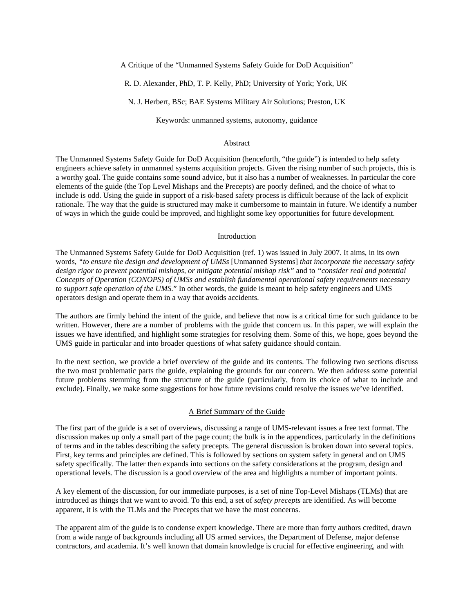A Critique of the "Unmanned Systems Safety Guide for DoD Acquisition"

R. D. Alexander, PhD, T. P. Kelly, PhD; University of York; York, UK

N. J. Herbert, BSc; BAE Systems Military Air Solutions; Preston, UK

Keywords: unmanned systems, autonomy, guidance

#### Abstract

The Unmanned Systems Safety Guide for DoD Acquisition (henceforth, "the guide") is intended to help safety engineers achieve safety in unmanned systems acquisition projects. Given the rising number of such projects, this is a worthy goal. The guide contains some sound advice, but it also has a number of weaknesses. In particular the core elements of the guide (the Top Level Mishaps and the Precepts) are poorly defined, and the choice of what to include is odd. Using the guide in support of a risk-based safety process is difficult because of the lack of explicit rationale. The way that the guide is structured may make it cumbersome to maintain in future. We identify a number of ways in which the guide could be improved, and highlight some key opportunities for future development.

#### Introduction

The Unmanned Systems Safety Guide for DoD Acquisition (ref. 1) was issued in July 2007. It aims, in its own words, *"to ensure the design and development of UMSs* [Unmanned Systems] *that incorporate the necessary safety design rigor to prevent potential mishaps, or mitigate potential mishap risk"* and to *"consider real and potential Concepts of Operation (CONOPS) of UMSs and establish fundamental operational safety requirements necessary to support safe operation of the UMS.*" In other words, the guide is meant to help safety engineers and UMS operators design and operate them in a way that avoids accidents.

The authors are firmly behind the intent of the guide, and believe that now is a critical time for such guidance to be written. However, there are a number of problems with the guide that concern us. In this paper, we will explain the issues we have identified, and highlight some strategies for resolving them. Some of this, we hope, goes beyond the UMS guide in particular and into broader questions of what safety guidance should contain.

In the next section, we provide a brief overview of the guide and its contents. The following two sections discuss the two most problematic parts the guide, explaining the grounds for our concern. We then address some potential future problems stemming from the structure of the guide (particularly, from its choice of what to include and exclude). Finally, we make some suggestions for how future revisions could resolve the issues we've identified.

#### A Brief Summary of the Guide

The first part of the guide is a set of overviews, discussing a range of UMS-relevant issues a free text format. The discussion makes up only a small part of the page count; the bulk is in the appendices, particularly in the definitions of terms and in the tables describing the safety precepts. The general discussion is broken down into several topics. First, key terms and principles are defined. This is followed by sections on system safety in general and on UMS safety specifically. The latter then expands into sections on the safety considerations at the program, design and operational levels. The discussion is a good overview of the area and highlights a number of important points.

A key element of the discussion, for our immediate purposes, is a set of nine Top-Level Mishaps (TLMs) that are introduced as things that we want to avoid. To this end, a set of *safety precepts* are identified. As will become apparent, it is with the TLMs and the Precepts that we have the most concerns.

The apparent aim of the guide is to condense expert knowledge. There are more than forty authors credited, drawn from a wide range of backgrounds including all US armed services, the Department of Defense, major defense contractors, and academia. It's well known that domain knowledge is crucial for effective engineering, and with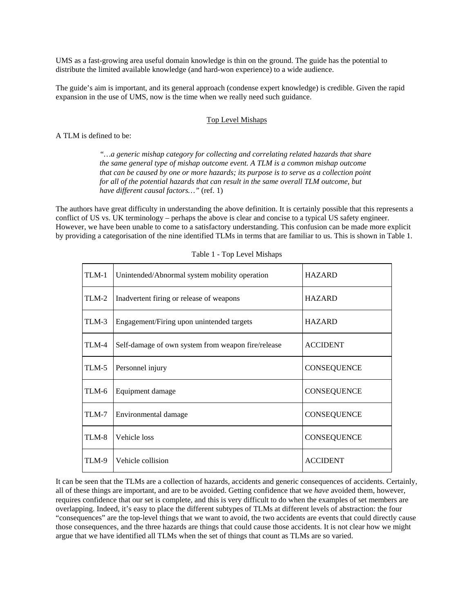UMS as a fast-growing area useful domain knowledge is thin on the ground. The guide has the potential to distribute the limited available knowledge (and hard-won experience) to a wide audience.

The guide's aim is important, and its general approach (condense expert knowledge) is credible. Given the rapid expansion in the use of UMS, now is the time when we really need such guidance.

## Top Level Mishaps

A TLM is defined to be:

*"…a generic mishap category for collecting and correlating related hazards that share the same general type of mishap outcome event. A TLM is a common mishap outcome that can be caused by one or more hazards; its purpose is to serve as a collection point for all of the potential hazards that can result in the same overall TLM outcome, but have different causal factors…"* (ref. 1)

<span id="page-1-0"></span>The authors have great difficulty in understanding the above definition. It is certainly possible that this represents a conflict of US vs. UK terminology – perhaps the above is clear and concise to a typical US safety engineer. However, we have been unable to come to a satisfactory understanding. This confusion can be made more explicit by providing a categorisation of the nine identified TLMs in terms that are familiar to us. This is shown in [Table 1](#page-1-0).

| TLM-1 | Unintended/Abnormal system mobility operation      | <b>HAZARD</b>      |
|-------|----------------------------------------------------|--------------------|
| TLM-2 | Inadvertent firing or release of weapons           | <b>HAZARD</b>      |
| TLM-3 | Engagement/Firing upon unintended targets          | <b>HAZARD</b>      |
| TLM-4 | Self-damage of own system from weapon fire/release | <b>ACCIDENT</b>    |
| TLM-5 | Personnel injury                                   | <b>CONSEQUENCE</b> |
| TLM-6 | Equipment damage                                   | <b>CONSEQUENCE</b> |
| TLM-7 | Environmental damage                               | <b>CONSEQUENCE</b> |
| TLM-8 | Vehicle loss                                       | <b>CONSEQUENCE</b> |
| TLM-9 | Vehicle collision                                  | <b>ACCIDENT</b>    |

Table 1 - Top Level Mishaps

It can be seen that the TLMs are a collection of hazards, accidents and generic consequences of accidents. Certainly, all of these things are important, and are to be avoided. Getting confidence that we *have* avoided them, however, requires confidence that our set is complete, and this is very difficult to do when the examples of set members are overlapping. Indeed, it's easy to place the different subtypes of TLMs at different levels of abstraction: the four "consequences" are the top-level things that we want to avoid, the two accidents are events that could directly cause those consequences, and the three hazards are things that could cause those accidents. It is not clear how we might argue that we have identified all TLMs when the set of things that count as TLMs are so varied.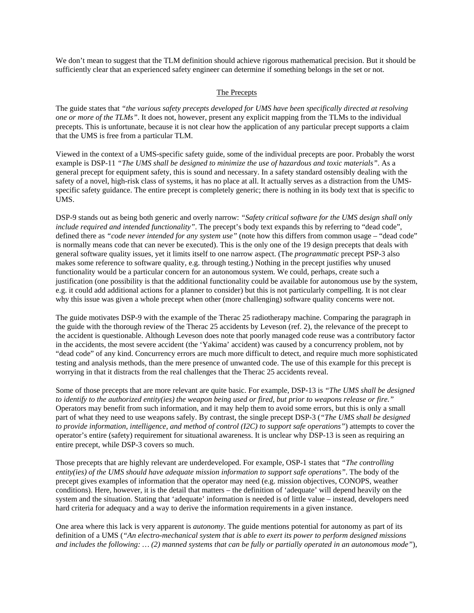We don't mean to suggest that the TLM definition should achieve rigorous mathematical precision. But it should be sufficiently clear that an experienced safety engineer can determine if something belongs in the set or not.

## The Precepts

The guide states that *"the various safety precepts developed for UMS have been specifically directed at resolving one or more of the TLMs"*. It does not, however, present any explicit mapping from the TLMs to the individual precepts. This is unfortunate, because it is not clear how the application of any particular precept supports a claim that the UMS is free from a particular TLM.

Viewed in the context of a UMS-specific safety guide, some of the individual precepts are poor. Probably the worst example is DSP-11 *"The UMS shall be designed to minimize the use of hazardous and toxic materials"*. As a general precept for equipment safety, this is sound and necessary. In a safety standard ostensibly dealing with the safety of a novel, high-risk class of systems, it has no place at all. It actually serves as a distraction from the UMSspecific safety guidance. The entire precept is completely generic; there is nothing in its body text that is specific to UMS.

DSP-9 stands out as being both generic and overly narrow: *"Safety critical software for the UMS design shall only include required and intended functionality"*. The precept's body text expands this by referring to "dead code", defined there as *"code never intended for any system use"* (note how this differs from common usage – "dead code" is normally means code that can never be executed). This is the only one of the 19 design precepts that deals with general software quality issues, yet it limits itself to one narrow aspect. (The *programmatic* precept PSP-3 also makes some reference to software quality, e.g. through testing.) Nothing in the precept justifies why unused functionality would be a particular concern for an autonomous system. We could, perhaps, create such a justification (one possibility is that the additional functionality could be available for autonomous use by the system, e.g. it could add additional actions for a planner to consider) but this is not particularly compelling. It is not clear why this issue was given a whole precept when other (more challenging) software quality concerns were not.

The guide motivates DSP-9 with the example of the Therac 25 radiotherapy machine. Comparing the paragraph in the guide with the thorough review of the Therac 25 accidents by Leveson (ref. 2), the relevance of the precept to the accident is questionable. Although Leveson does note that poorly managed code reuse was a contributory factor in the accidents, the most severe accident (the 'Yakima' accident) was caused by a concurrency problem, not by "dead code" of any kind. Concurrency errors are much more difficult to detect, and require much more sophisticated testing and analysis methods, than the mere presence of unwanted code. The use of this example for this precept is worrying in that it distracts from the real challenges that the Therac 25 accidents reveal.

Some of those precepts that are more relevant are quite basic. For example, DSP-13 is *"The UMS shall be designed to identify to the authorized entity(ies) the weapon being used or fired, but prior to weapons release or fire."* Operators may benefit from such information, and it may help them to avoid some errors, but this is only a small part of what they need to use weapons safely. By contrast, the single precept DSP-3 (*"The UMS shall be designed to provide information, intelligence, and method of control (I2C) to support safe operations"*) attempts to cover the operator's entire (safety) requirement for situational awareness. It is unclear why DSP-13 is seen as requiring an entire precept, while DSP-3 covers so much.

Those precepts that are highly relevant are underdeveloped. For example, OSP-1 states that *"The controlling entity(ies) of the UMS should have adequate mission information to support safe operations"*. The body of the precept gives examples of information that the operator may need (e.g. mission objectives, CONOPS, weather conditions). Here, however, it is the detail that matters – the definition of 'adequate' will depend heavily on the system and the situation. Stating that 'adequate' information is needed is of little value – instead, developers need hard criteria for adequacy and a way to derive the information requirements in a given instance.

One area where this lack is very apparent is *autonomy*. The guide mentions potential for autonomy as part of its definition of a UMS (*"An electro-mechanical system that is able to exert its power to perform designed missions and includes the following: … (2) manned systems that can be fully or partially operated in an autonomous mode"*),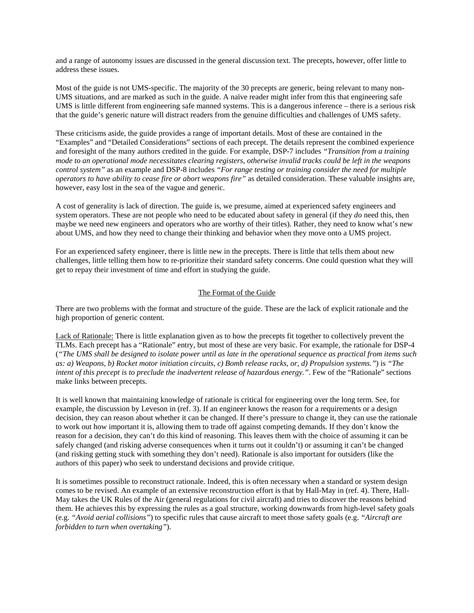and a range of autonomy issues are discussed in the general discussion text. The precepts, however, offer little to address these issues.

Most of the guide is not UMS-specific. The majority of the 30 precepts are generic, being relevant to many non-UMS situations, and are marked as such in the guide. A naïve reader might infer from this that engineering safe UMS is little different from engineering safe manned systems. This is a dangerous inference – there is a serious risk that the guide's generic nature will distract readers from the genuine difficulties and challenges of UMS safety.

These criticisms aside, the guide provides a range of important details. Most of these are contained in the "Examples" and "Detailed Considerations" sections of each precept. The details represent the combined experience and foresight of the many authors credited in the guide. For example, DSP-7 includes *"Transition from a training mode to an operational mode necessitates clearing registers, otherwise invalid tracks could be left in the weapons control system"* as an example and DSP-8 includes *"For range testing or training consider the need for multiple operators to have ability to cease fire or abort weapons fire"* as detailed consideration. These valuable insights are, however, easy lost in the sea of the vague and generic.

A cost of generality is lack of direction. The guide is, we presume, aimed at experienced safety engineers and system operators. These are not people who need to be educated about safety in general (if they *do* need this, then maybe we need new engineers and operators who are worthy of their titles). Rather, they need to know what's new about UMS, and how they need to change their thinking and behavior when they move onto a UMS project.

For an experienced safety engineer, there is little new in the precepts. There is little that tells them about new challenges, little telling them how to re-prioritize their standard safety concerns. One could question what they will get to repay their investment of time and effort in studying the guide.

## The Format of the Guide

There are two problems with the format and structure of the guide. These are the lack of explicit rationale and the high proportion of generic content.

Lack of Rationale: There is little explanation given as to how the precepts fit together to collectively prevent the TLMs. Each precept has a "Rationale" entry, but most of these are very basic. For example, the rationale for DSP-4 (*"The UMS shall be designed to isolate power until as late in the operational sequence as practical from items such as: a) Weapons, b) Rocket motor initiation circuits, c) Bomb release racks, or, d) Propulsion systems."*) is *"The intent of this precept is to preclude the inadvertent release of hazardous energy."*. Few of the "Rationale" sections make links between precepts.

It is well known that maintaining knowledge of rationale is critical for engineering over the long term. See, for example, the discussion by Leveson in (ref. 3). If an engineer knows the reason for a requirements or a design decision, they can reason about whether it can be changed. If there's pressure to change it, they can use the rationale to work out how important it is, allowing them to trade off against competing demands. If they don't know the reason for a decision, they can't do this kind of reasoning. This leaves them with the choice of assuming it can be safely changed (and risking adverse consequences when it turns out it couldn't) or assuming it can't be changed (and risking getting stuck with something they don't need). Rationale is also important for outsiders (like the authors of this paper) who seek to understand decisions and provide critique.

It is sometimes possible to reconstruct rationale. Indeed, this is often necessary when a standard or system design comes to be revised. An example of an extensive reconstruction effort is that by Hall-May in (ref. 4). There, Hall-May takes the UK Rules of the Air (general regulations for civil aircraft) and tries to discover the reasons behind them. He achieves this by expressing the rules as a goal structure, working downwards from high-level safety goals (e.g. *"Avoid aerial collisions"*) to specific rules that cause aircraft to meet those safety goals (e.g. *"Aircraft are forbidden to turn when overtaking"*).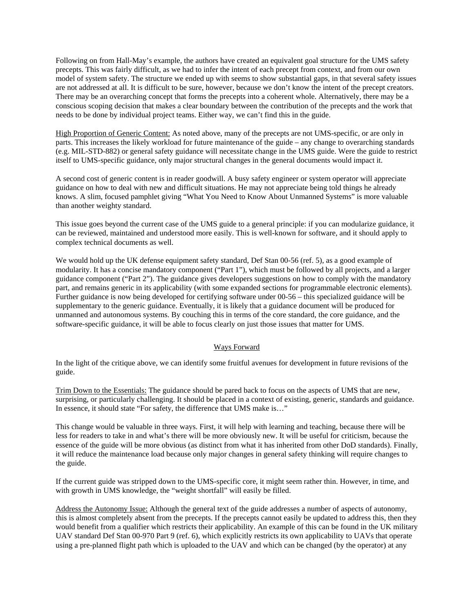Following on from Hall-May's example, the authors have created an equivalent goal structure for the UMS safety precepts. This was fairly difficult, as we had to infer the intent of each precept from context, and from our own model of system safety. The structure we ended up with seems to show substantial gaps, in that several safety issues are not addressed at all. It is difficult to be sure, however, because we don't know the intent of the precept creators. There may be an overarching concept that forms the precepts into a coherent whole. Alternatively, there may be a conscious scoping decision that makes a clear boundary between the contribution of the precepts and the work that needs to be done by individual project teams. Either way, we can't find this in the guide.

High Proportion of Generic Content: As noted above, many of the precepts are not UMS-specific, or are only in parts. This increases the likely workload for future maintenance of the guide – any change to overarching standards (e.g. MIL-STD-882) or general safety guidance will necessitate change in the UMS guide. Were the guide to restrict itself to UMS-specific guidance, only major structural changes in the general documents would impact it.

A second cost of generic content is in reader goodwill. A busy safety engineer or system operator will appreciate guidance on how to deal with new and difficult situations. He may not appreciate being told things he already knows. A slim, focused pamphlet giving "What You Need to Know About Unmanned Systems" is more valuable than another weighty standard.

This issue goes beyond the current case of the UMS guide to a general principle: if you can modularize guidance, it can be reviewed, maintained and understood more easily. This is well-known for software, and it should apply to complex technical documents as well.

We would hold up the UK defense equipment safety standard, Def Stan 00-56 (ref. 5), as a good example of modularity. It has a concise mandatory component ("Part 1"), which must be followed by all projects, and a larger guidance component ("Part 2"). The guidance gives developers suggestions on how to comply with the mandatory part, and remains generic in its applicability (with some expanded sections for programmable electronic elements). Further guidance is now being developed for certifying software under 00-56 – this specialized guidance will be supplementary to the generic guidance. Eventually, it is likely that a guidance document will be produced for unmanned and autonomous systems. By couching this in terms of the core standard, the core guidance, and the software-specific guidance, it will be able to focus clearly on just those issues that matter for UMS.

# Ways Forward

In the light of the critique above, we can identify some fruitful avenues for development in future revisions of the guide.

Trim Down to the Essentials: The guidance should be pared back to focus on the aspects of UMS that are new, surprising, or particularly challenging. It should be placed in a context of existing, generic, standards and guidance. In essence, it should state "For safety, the difference that UMS make is…"

This change would be valuable in three ways. First, it will help with learning and teaching, because there will be less for readers to take in and what's there will be more obviously new. It will be useful for criticism, because the essence of the guide will be more obvious (as distinct from what it has inherited from other DoD standards). Finally, it will reduce the maintenance load because only major changes in general safety thinking will require changes to the guide.

If the current guide was stripped down to the UMS-specific core, it might seem rather thin. However, in time, and with growth in UMS knowledge, the "weight shortfall" will easily be filled.

Address the Autonomy Issue: Although the general text of the guide addresses a number of aspects of autonomy, this is almost completely absent from the precepts. If the precepts cannot easily be updated to address this, then they would benefit from a qualifier which restricts their applicability. An example of this can be found in the UK military UAV standard Def Stan 00-970 Part 9 (ref. 6), which explicitly restricts its own applicability to UAVs that operate using a pre-planned flight path which is uploaded to the UAV and which can be changed (by the operator) at any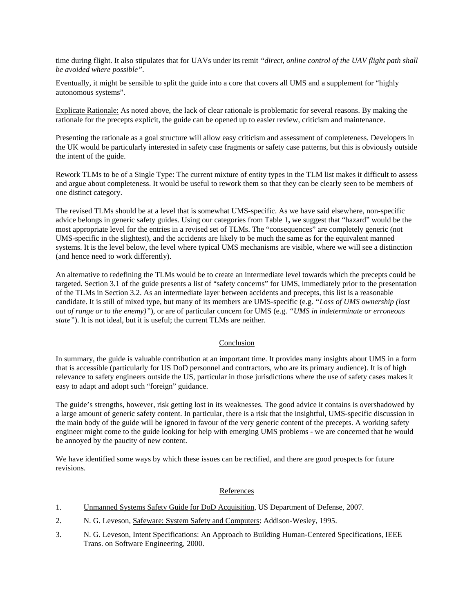time during flight. It also stipulates that for UAVs under its remit *"direct, online control of the UAV flight path shall be avoided where possible"*.

Eventually, it might be sensible to split the guide into a core that covers all UMS and a supplement for "highly autonomous systems".

Explicate Rationale: As noted above, the lack of clear rationale is problematic for several reasons. By making the rationale for the precepts explicit, the guide can be opened up to easier review, criticism and maintenance.

Presenting the rationale as a goal structure will allow easy criticism and assessment of completeness. Developers in the UK would be particularly interested in safety case fragments or safety case patterns, but this is obviously outside the intent of the guide.

Rework TLMs to be of a Single Type: The current mixture of entity types in the TLM list makes it difficult to assess and argue about completeness. It would be useful to rework them so that they can be clearly seen to be members of one distinct category.

The revised TLMs should be at a level that is somewhat UMS-specific. As we have said elsewhere, non-specific advice belongs in generic safety guides. Using our categories from [Table 1](#page-1-0)**,** we suggest that "hazard" would be the most appropriate level for the entries in a revised set of TLMs. The "consequences" are completely generic (not UMS-specific in the slightest), and the accidents are likely to be much the same as for the equivalent manned systems. It is the level below, the level where typical UMS mechanisms are visible, where we will see a distinction (and hence need to work differently).

An alternative to redefining the TLMs would be to create an intermediate level towards which the precepts could be targeted. Section 3.1 of the guide presents a list of "safety concerns" for UMS, immediately prior to the presentation of the TLMs in Section 3.2. As an intermediate layer between accidents and precepts, this list is a reasonable candidate. It is still of mixed type, but many of its members are UMS-specific (e.g. *"Loss of UMS ownership (lost out of range or to the enemy)"*), or are of particular concern for UMS (e.g. *"UMS in indeterminate or erroneous state"*). It is not ideal, but it is useful; the current TLMs are neither.

## Conclusion

In summary, the guide is valuable contribution at an important time. It provides many insights about UMS in a form that is accessible (particularly for US DoD personnel and contractors, who are its primary audience). It is of high relevance to safety engineers outside the US, particular in those jurisdictions where the use of safety cases makes it easy to adapt and adopt such "foreign" guidance.

The guide's strengths, however, risk getting lost in its weaknesses. The good advice it contains is overshadowed by a large amount of generic safety content. In particular, there is a risk that the insightful, UMS-specific discussion in the main body of the guide will be ignored in favour of the very generic content of the precepts. A working safety engineer might come to the guide looking for help with emerging UMS problems - we are concerned that he would be annoyed by the paucity of new content.

We have identified some ways by which these issues can be rectified, and there are good prospects for future revisions.

## References

- 1. Unmanned Systems Safety Guide for DoD Acquisition, US Department of Defense, 2007.
- 2. N. G. Leveson, Safeware: System Safety and Computers: Addison-Wesley, 1995.
- 3. N. G. Leveson, Intent Specifications: An Approach to Building Human-Centered Specifications, IEEE Trans. on Software Engineering, 2000.